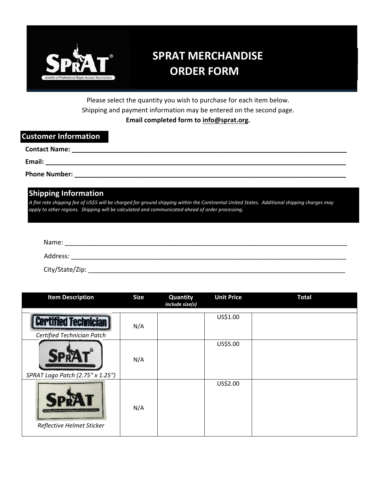

# **SPRAT MERCHANDISE ORDER FORM**

Please select the quantity you wish to purchase for each item below. Shipping and payment information may be entered on the second page. **Email completed form to info@sprat.org.** 

#### **Customer Information**

| <b>Contact Name:</b> |  |  |  |  |
|----------------------|--|--|--|--|
| Email:               |  |  |  |  |
| <b>Phone Number:</b> |  |  |  |  |

## **Shipping Information**

*A flat rate shipping fee of US\$5 will be charged for ground shipping within the Continental United States. Additional shipping charges may apply to other regions. Shipping will be calculated and communicated ahead of order processing.* 

| Name:           |  |
|-----------------|--|
| Address:        |  |
| City/State/Zip: |  |

| <b>Item Description</b>                                                     | <b>Size</b> | Quantity<br>include size(s) | <b>Unit Price</b> | <b>Total</b> |
|-----------------------------------------------------------------------------|-------------|-----------------------------|-------------------|--------------|
| <b>Certified Technicial</b><br>Certified Technician Patch                   | N/A         |                             | US\$1.00          |              |
| SPRAT Logo Patch (2.75" x 1.25")                                            | N/A         |                             | US\$5.00          |              |
| Society of Professional Rope Access Technician<br>Reflective Helmet Sticker | N/A         |                             | US\$2.00          |              |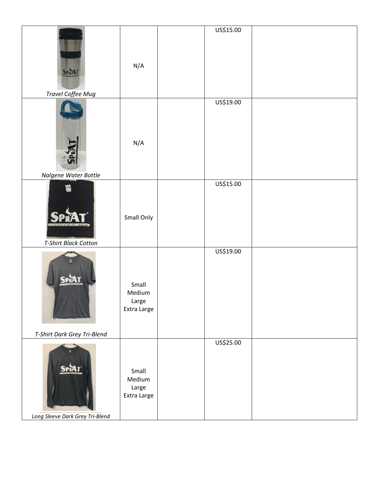|                                                 |                                         | US\$15.00 |  |
|-------------------------------------------------|-----------------------------------------|-----------|--|
| <b>SpR</b><br><b>Travel Coffee Mug</b>          | N/A                                     |           |  |
|                                                 |                                         | US\$19.00 |  |
|                                                 | N/A                                     |           |  |
| Nalgene Water Bottle                            |                                         |           |  |
| <b>T-Shirt Black Cotton</b>                     | Small Only                              | US\$15.00 |  |
|                                                 |                                         | US\$19.00 |  |
| <b>SPRAT</b>                                    | Small<br>Medium<br>Large<br>Extra Large |           |  |
| T-Shirt Dark Grey Tri-Blend                     |                                         |           |  |
| <b>SPRAT</b><br>Long Sleeve Dark Grey Tri-Blend | Small<br>Medium<br>Large<br>Extra Large | US\$25.00 |  |